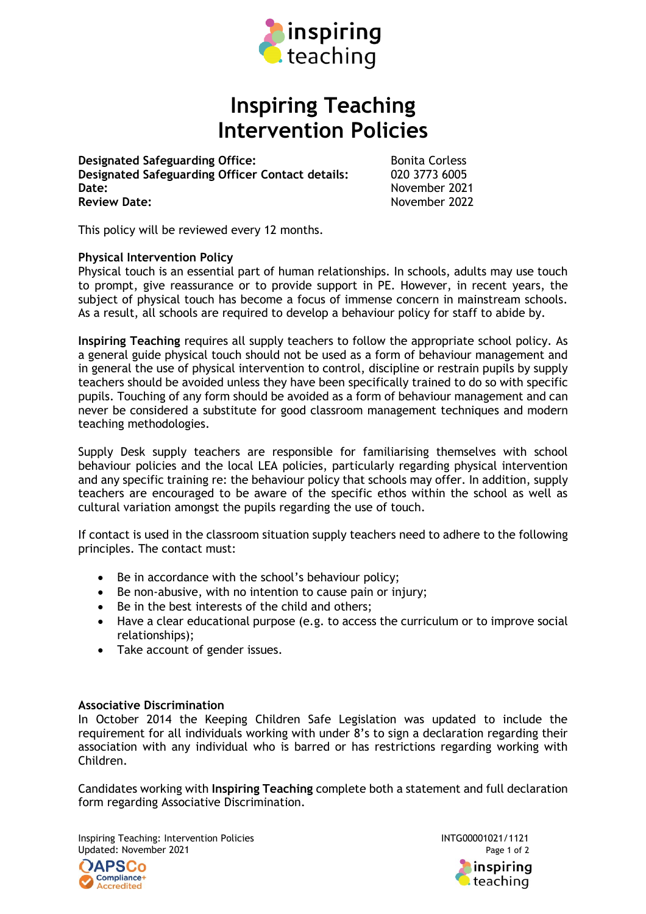

## **Inspiring Teaching Intervention Policies**

**Designated Safeguarding Office:** Bonita Corless **Designated Safeguarding Officer Contact details:** 020 3773 6005 **Date:** November 2021 **Review Date:** November 2022

This policy will be reviewed every 12 months.

## **Physical Intervention Policy**

Physical touch is an essential part of human relationships. In schools, adults may use touch to prompt, give reassurance or to provide support in PE. However, in recent years, the subject of physical touch has become a focus of immense concern in mainstream schools. As a result, all schools are required to develop a behaviour policy for staff to abide by.

**Inspiring Teaching** requires all supply teachers to follow the appropriate school policy. As a general guide physical touch should not be used as a form of behaviour management and in general the use of physical intervention to control, discipline or restrain pupils by supply teachers should be avoided unless they have been specifically trained to do so with specific pupils. Touching of any form should be avoided as a form of behaviour management and can never be considered a substitute for good classroom management techniques and modern teaching methodologies.

Supply Desk supply teachers are responsible for familiarising themselves with school behaviour policies and the local LEA policies, particularly regarding physical intervention and any specific training re: the behaviour policy that schools may offer. In addition, supply teachers are encouraged to be aware of the specific ethos within the school as well as cultural variation amongst the pupils regarding the use of touch.

If contact is used in the classroom situation supply teachers need to adhere to the following principles. The contact must:

- Be in accordance with the school's behaviour policy;
- Be non-abusive, with no intention to cause pain or injury;
- Be in the best interests of the child and others;
- Have a clear educational purpose (e.g. to access the curriculum or to improve social relationships);
- Take account of gender issues.

## **Associative Discrimination**

In October 2014 the Keeping Children Safe Legislation was updated to include the requirement for all individuals working with under 8's to sign a declaration regarding their association with any individual who is barred or has restrictions regarding working with Children.

Candidates working with **Inspiring Teaching** complete both a statement and full declaration form regarding Associative Discrimination.

Inspiring Teaching: Intervention Policies INTG00001021/1121 Updated: November 2021 **Page 1 of 2** Page 1 of 2